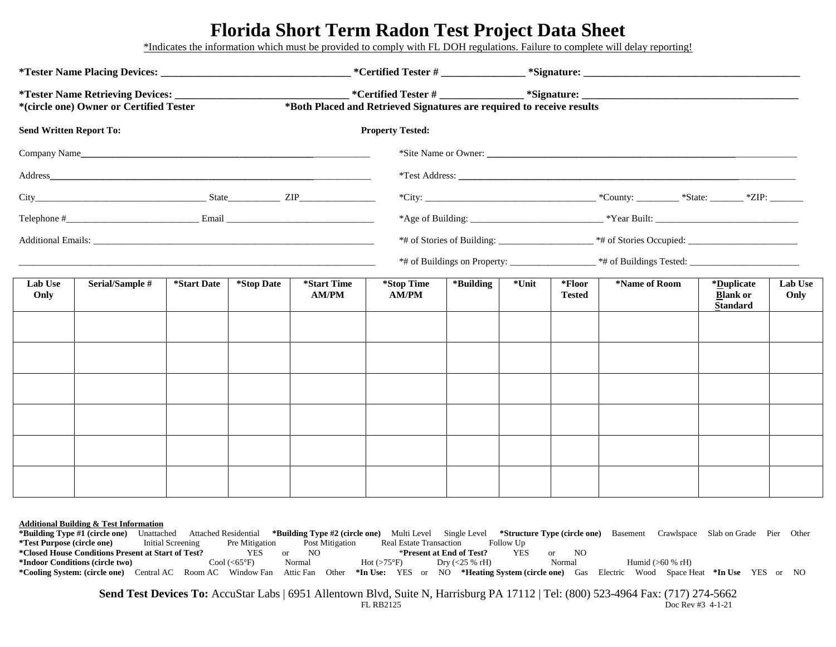# **Florida Short Term Radon Test Project Data Sheet**

\*Indicates the information which must be provided to comply with FL DOH regulations. Failure to complete will delay reporting!

| *(circle one) Owner or Certified Tester                                                                                                                                                                                       |                 |                           |            |                             |                                                                                                                                                            |           |       |                         |               |                                                  |                 |
|-------------------------------------------------------------------------------------------------------------------------------------------------------------------------------------------------------------------------------|-----------------|---------------------------|------------|-----------------------------|------------------------------------------------------------------------------------------------------------------------------------------------------------|-----------|-------|-------------------------|---------------|--------------------------------------------------|-----------------|
|                                                                                                                                                                                                                               |                 |                           |            |                             | _ *Certified Tester # ________________ *Signature: ______________________________<br>*Both Placed and Retrieved Signatures are required to receive results |           |       |                         |               |                                                  |                 |
| <b>Send Written Report To:</b>                                                                                                                                                                                                |                 |                           |            | <b>Property Tested:</b>     |                                                                                                                                                            |           |       |                         |               |                                                  |                 |
|                                                                                                                                                                                                                               |                 |                           |            |                             |                                                                                                                                                            |           |       |                         |               |                                                  |                 |
|                                                                                                                                                                                                                               |                 |                           |            |                             |                                                                                                                                                            |           |       |                         |               |                                                  |                 |
|                                                                                                                                                                                                                               |                 |                           |            |                             |                                                                                                                                                            |           |       |                         |               |                                                  |                 |
| Telephone $\#$ Email Email Email Email Email Email Email Email Email Email Email Email Email Email Email Email Email Email Email Email Email Email Email Email Email Email Email Email Email Email Email Email Email Email Em |                 |                           |            |                             |                                                                                                                                                            |           |       |                         |               |                                                  |                 |
|                                                                                                                                                                                                                               |                 |                           |            |                             |                                                                                                                                                            |           |       |                         |               |                                                  |                 |
|                                                                                                                                                                                                                               |                 |                           |            |                             |                                                                                                                                                            |           |       |                         |               |                                                  |                 |
| Lab Use<br>Only                                                                                                                                                                                                               | Serial/Sample # | <i><b>*Start Date</b></i> | *Stop Date | *Start Time<br><b>AM/PM</b> | *Stop Time<br>AM/PM                                                                                                                                        | *Building | *Unit | *Floor<br><b>Tested</b> | *Name of Room | *Duplicate<br><b>Blank or</b><br><b>Standard</b> | Lab Use<br>Only |
|                                                                                                                                                                                                                               |                 |                           |            |                             |                                                                                                                                                            |           |       |                         |               |                                                  |                 |
|                                                                                                                                                                                                                               |                 |                           |            |                             |                                                                                                                                                            |           |       |                         |               |                                                  |                 |
|                                                                                                                                                                                                                               |                 |                           |            |                             |                                                                                                                                                            |           |       |                         |               |                                                  |                 |
|                                                                                                                                                                                                                               |                 |                           |            |                             |                                                                                                                                                            |           |       |                         |               |                                                  |                 |
|                                                                                                                                                                                                                               |                 |                           |            |                             |                                                                                                                                                            |           |       |                         |               |                                                  |                 |
|                                                                                                                                                                                                                               |                 |                           |            |                             |                                                                                                                                                            |           |       |                         |               |                                                  |                 |

#### **Additional Building & Test Information**

**\*Building Type #1 (circle one)** Unattached Attached Residential **\*Building Type #2 (circle one)** Multi Level Single Level **\*Structure Type (circle one)** Basement Crawlspace Slab on Grade Pier Other **\*Test Purpose (circle one) Initial Screening** Pre Mitigation Post Mitigation Real Estate Transaction Follow Up<br> **\*Closed House Conditions Present at Start of Test?** YES or NO **\*Present at End of Test?** YES **\*Closed House Conditions Present at Start of Test?** YES or NO \***Present at End of Test?** YES or NO **\*Indoor Conditions (circle two)** Cool (<65°F) Normal Hot (>75°F) Dry (<25 % rH) Normal Humid (>60 % rH) **\*Cooling System: (circle one)** Central AC Room AC Window Fan Attic Fan Other **\*In Use:** YES or NO **\*Heating System (circle one)** Gas Electric Wood Space Heat **\*In Use** YES or NO

**Send Test Devices To:** AccuStar Labs | 6951 Allentown Blvd, Suite N, Harrisburg PA 17112 | Tel: (800) 523-4964 Fax: (717) 274-5662 FL RB2125 Doc Rev #3 4-1-21